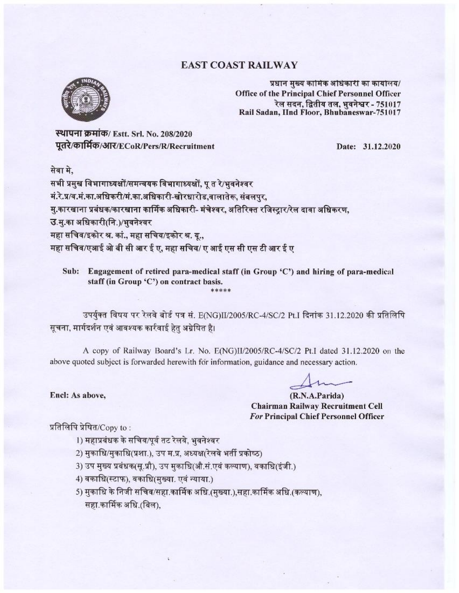### **EAST COAST RAILWAY**



प्रधान मुख्य कामिक अधिकारी का कार्यालय/ Office of the Principal Chief Personnel Officer रेल सदन. द्वितीय तल. भवनेश्वर - 751017 Rail Sadan, IInd Floor, Bhubaneswar-751017

स्थापना क्रमांक/ Estt. Srl. No. 208/2020 पूतरे/कार्मिक/आर/ECoR/Pers/R/Recruitment

Date: 31.12.2020

सेवा मे.

सभी प्रमुख विभागाध्यक्षों/समन्वयक विभागाध्यक्षों. पु त रे/भवनेश्वर मं.रे.प्र/व.मं.का.अधिकरी/मं.का.अधिकारी-खोरधारोड,वालातेरू, संबलपुर, मु.कारखाना प्रबंधक/कारखाना कार्मिक अधिकारी- मंचेश्वर, अतिरिक्त रजिस्ट्रार/रेल दावा अधिकरण, उ.म.का अधिकारी(नि.)/भवनेश्वर महा सचिव/इकोर श्र. कां., महा सचिव/इकोर श्र. यू., महा सचिव/एआई ओ बी सी आर ई ए, महा सचिव/ ए आई एस सी एस टी आर ई ए

Sub: Engagement of retired para-medical staff (in Group 'C') and hiring of para-medical staff (in Group 'C') on contract basis.

उपर्युक्त विषय पर रेलवे बोर्ड पत्र सं. E(NG)II/2005/RC-4/SC/2 Pt.I दिनांक 31.12.2020 की प्रतिलिपि सूचना, मार्गदर्शन एवं आवश्यक कार्रवाई हेतु अग्रेषित है।

A copy of Railway Board's Lr. No. E(NG)II/2005/RC-4/SC/2 Pt.I dated 31.12.2020 on the above quoted subject is forwarded herewith for information, guidance and necessary action.

(R.N.A.Parida) Chairman Railway Recruitment Cell For Principal Chief Personnel Officer

प्रतिलिपि प्रेषित/ $Copy$  to:

Encl: As above,

- 1) महाप्रबंधक के सचिव/पूर्व तट रेलवे. भवनेश्वर
- 2) मुकाधि/मुकाधि(प्रशा.), उप म.प्र. अध्यक्ष(रेलवे भर्ती प्रकोष्ठ)
- 3) उप मुख्य प्रबंधक(सू.प्रौ), उप मुकाधि(औ.सं.एवं कल्याण), वकाधि(इंजी.)
- 4) वकाधि(स्टाफ), वकाधि(मुख्या. एवं न्याया.)
- 5) मुकाधि के निजी सचिव/सहा.कार्मिक अधि.(मुख्या.),सहा.कार्मिक अधि.(कल्याण), सहा.कार्मिक अधि.(बिल),